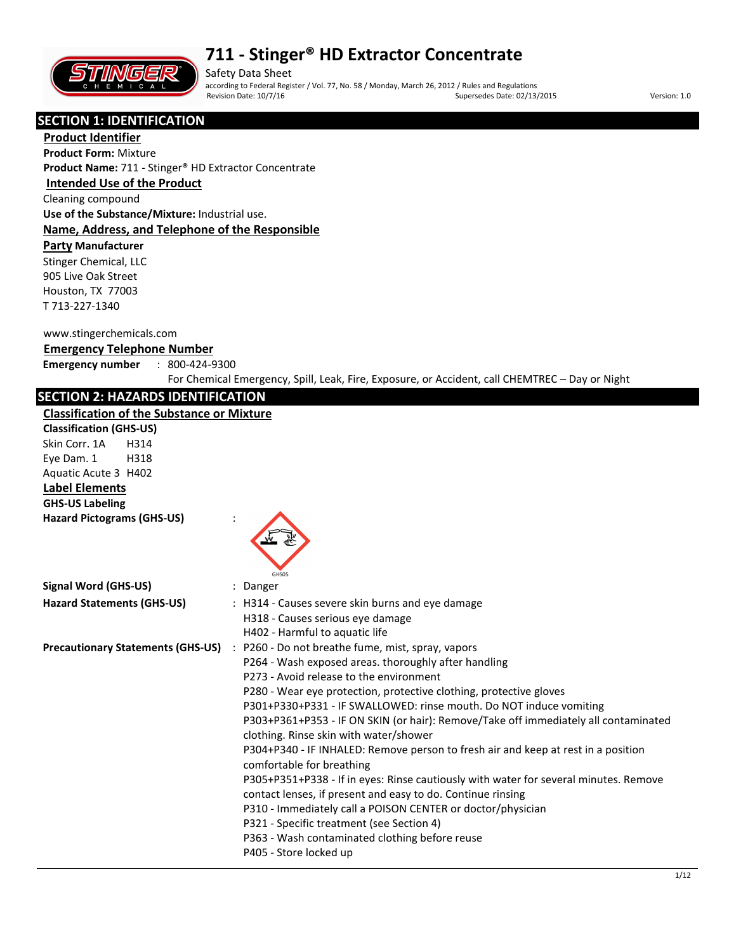

Safety Data Sheet according to Federal Register / Vol. 77, No. 58 / Monday, March 26, 2012 / Rules and Regulations Supersedes Date: 02/13/2015 Version: 1.0

## **SECTION 1: IDENTIFICATION**

**Product Identifier Product Form:** Mixture **Product Name:** 711 - Stinger® HD Extractor Concentrate

## **Intended Use of the Product**

Cleaning compound

**Use of the Substance/Mixture:** Industrial use. **Name, Address, and Telephone of the Responsible** 

### **Party Manufacturer**

Stinger Chemical, LLC 905 Live Oak Street Houston, TX 77003 T 713-227-1340

#### www.stingerchemicals.com

### **Emergency Telephone Number**

**Emergency number** : 800-424-9300

For Chemical Emergency, Spill, Leak, Fire, Exposure, or Accident, call CHEMTREC – Day or Night

### **SECTION 2: HAZARDS IDENTIFICATION**

#### **Classification of the Substance or Mixture**

| <b>Classification of the Substance or Mixture</b> |                                                                                                                                                                                                                                                                                                                                                                                                                                                                                                                                                                                                                                                                                                                                                                                                                                                                                                                                      |
|---------------------------------------------------|--------------------------------------------------------------------------------------------------------------------------------------------------------------------------------------------------------------------------------------------------------------------------------------------------------------------------------------------------------------------------------------------------------------------------------------------------------------------------------------------------------------------------------------------------------------------------------------------------------------------------------------------------------------------------------------------------------------------------------------------------------------------------------------------------------------------------------------------------------------------------------------------------------------------------------------|
| <b>Classification (GHS-US)</b>                    |                                                                                                                                                                                                                                                                                                                                                                                                                                                                                                                                                                                                                                                                                                                                                                                                                                                                                                                                      |
| Skin Corr. 1A<br>H314                             |                                                                                                                                                                                                                                                                                                                                                                                                                                                                                                                                                                                                                                                                                                                                                                                                                                                                                                                                      |
| Eye Dam. 1<br>H318                                |                                                                                                                                                                                                                                                                                                                                                                                                                                                                                                                                                                                                                                                                                                                                                                                                                                                                                                                                      |
| Aquatic Acute 3 H402                              |                                                                                                                                                                                                                                                                                                                                                                                                                                                                                                                                                                                                                                                                                                                                                                                                                                                                                                                                      |
| <b>Label Elements</b>                             |                                                                                                                                                                                                                                                                                                                                                                                                                                                                                                                                                                                                                                                                                                                                                                                                                                                                                                                                      |
| <b>GHS-US Labeling</b>                            |                                                                                                                                                                                                                                                                                                                                                                                                                                                                                                                                                                                                                                                                                                                                                                                                                                                                                                                                      |
| <b>Hazard Pictograms (GHS-US)</b>                 | GHS05                                                                                                                                                                                                                                                                                                                                                                                                                                                                                                                                                                                                                                                                                                                                                                                                                                                                                                                                |
| <b>Signal Word (GHS-US)</b>                       | Danger                                                                                                                                                                                                                                                                                                                                                                                                                                                                                                                                                                                                                                                                                                                                                                                                                                                                                                                               |
| <b>Hazard Statements (GHS-US)</b>                 | : H314 - Causes severe skin burns and eye damage<br>H318 - Causes serious eye damage                                                                                                                                                                                                                                                                                                                                                                                                                                                                                                                                                                                                                                                                                                                                                                                                                                                 |
|                                                   | H402 - Harmful to aquatic life                                                                                                                                                                                                                                                                                                                                                                                                                                                                                                                                                                                                                                                                                                                                                                                                                                                                                                       |
|                                                   | Precautionary Statements (GHS-US) : P260 - Do not breathe fume, mist, spray, vapors<br>P264 - Wash exposed areas. thoroughly after handling<br>P273 - Avoid release to the environment<br>P280 - Wear eye protection, protective clothing, protective gloves<br>P301+P330+P331 - IF SWALLOWED: rinse mouth. Do NOT induce vomiting<br>P303+P361+P353 - IF ON SKIN (or hair): Remove/Take off immediately all contaminated<br>clothing. Rinse skin with water/shower<br>P304+P340 - IF INHALED: Remove person to fresh air and keep at rest in a position<br>comfortable for breathing<br>P305+P351+P338 - If in eyes: Rinse cautiously with water for several minutes. Remove<br>contact lenses, if present and easy to do. Continue rinsing<br>P310 - Immediately call a POISON CENTER or doctor/physician<br>P321 - Specific treatment (see Section 4)<br>P363 - Wash contaminated clothing before reuse<br>P405 - Store locked up |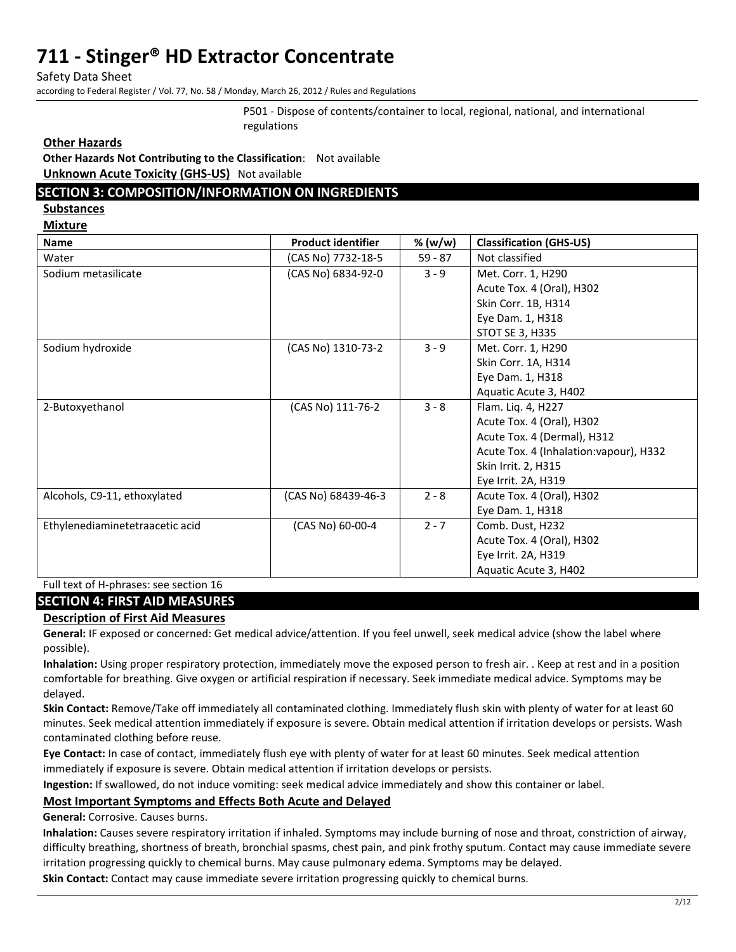Safety Data Sheet

according to Federal Register / Vol. 77, No. 58 / Monday, March 26, 2012 / Rules and Regulations

P501 - Dispose of contents/container to local, regional, national, and international regulations

#### **Other Hazards**

**Other Hazards Not Contributing to the Classification**: Not available **Unknown Acute Toxicity (GHS-US)** Not available

## **SECTION 3: COMPOSITION/INFORMATION ON INGREDIENTS**

**Substances** 

**Mixture** 

| <b>Name</b>                     | <b>Product identifier</b> | % (w/w)   | <b>Classification (GHS-US)</b>          |
|---------------------------------|---------------------------|-----------|-----------------------------------------|
| Water                           | (CAS No) 7732-18-5        | $59 - 87$ | Not classified                          |
| Sodium metasilicate             | (CAS No) 6834-92-0        | $3 - 9$   | Met. Corr. 1, H290                      |
|                                 |                           |           | Acute Tox. 4 (Oral), H302               |
|                                 |                           |           | Skin Corr. 1B, H314                     |
|                                 |                           |           | Eye Dam. 1, H318                        |
|                                 |                           |           | <b>STOT SE 3, H335</b>                  |
| Sodium hydroxide                | (CAS No) 1310-73-2        | $3 - 9$   | Met. Corr. 1, H290                      |
|                                 |                           |           | Skin Corr. 1A, H314                     |
|                                 |                           |           | Eye Dam. 1, H318                        |
|                                 |                           |           | Aquatic Acute 3, H402                   |
| 2-Butoxyethanol                 | (CAS No) 111-76-2         | $3 - 8$   | Flam. Liq. 4, H227                      |
|                                 |                           |           | Acute Tox. 4 (Oral), H302               |
|                                 |                           |           | Acute Tox. 4 (Dermal), H312             |
|                                 |                           |           | Acute Tox. 4 (Inhalation: vapour), H332 |
|                                 |                           |           | Skin Irrit. 2, H315                     |
|                                 |                           |           | Eye Irrit. 2A, H319                     |
| Alcohols, C9-11, ethoxylated    | (CAS No) 68439-46-3       | $2 - 8$   | Acute Tox. 4 (Oral), H302               |
|                                 |                           |           | Eye Dam. 1, H318                        |
| Ethylenediaminetetraacetic acid | (CAS No) 60-00-4          | $2 - 7$   | Comb. Dust, H232                        |
|                                 |                           |           | Acute Tox. 4 (Oral), H302               |
|                                 |                           |           | Eye Irrit. 2A, H319                     |
|                                 |                           |           | Aquatic Acute 3, H402                   |

Full text of H-phrases: see section 16

### **SECTION 4: FIRST AID MEASURES**

### **Description of First Aid Measures**

**General:** IF exposed or concerned: Get medical advice/attention. If you feel unwell, seek medical advice (show the label where possible).

**Inhalation:** Using proper respiratory protection, immediately move the exposed person to fresh air. . Keep at rest and in a position comfortable for breathing. Give oxygen or artificial respiration if necessary. Seek immediate medical advice. Symptoms may be delayed.

**Skin Contact:** Remove/Take off immediately all contaminated clothing. Immediately flush skin with plenty of water for at least 60 minutes. Seek medical attention immediately if exposure is severe. Obtain medical attention if irritation develops or persists. Wash contaminated clothing before reuse.

**Eye Contact:** In case of contact, immediately flush eye with plenty of water for at least 60 minutes. Seek medical attention immediately if exposure is severe. Obtain medical attention if irritation develops or persists.

**Ingestion:** If swallowed, do not induce vomiting: seek medical advice immediately and show this container or label.

### **Most Important Symptoms and Effects Both Acute and Delayed**

**General:** Corrosive. Causes burns.

**Inhalation:** Causes severe respiratory irritation if inhaled. Symptoms may include burning of nose and throat, constriction of airway, difficulty breathing, shortness of breath, bronchial spasms, chest pain, and pink frothy sputum. Contact may cause immediate severe irritation progressing quickly to chemical burns. May cause pulmonary edema. Symptoms may be delayed.

**Skin Contact:** Contact may cause immediate severe irritation progressing quickly to chemical burns.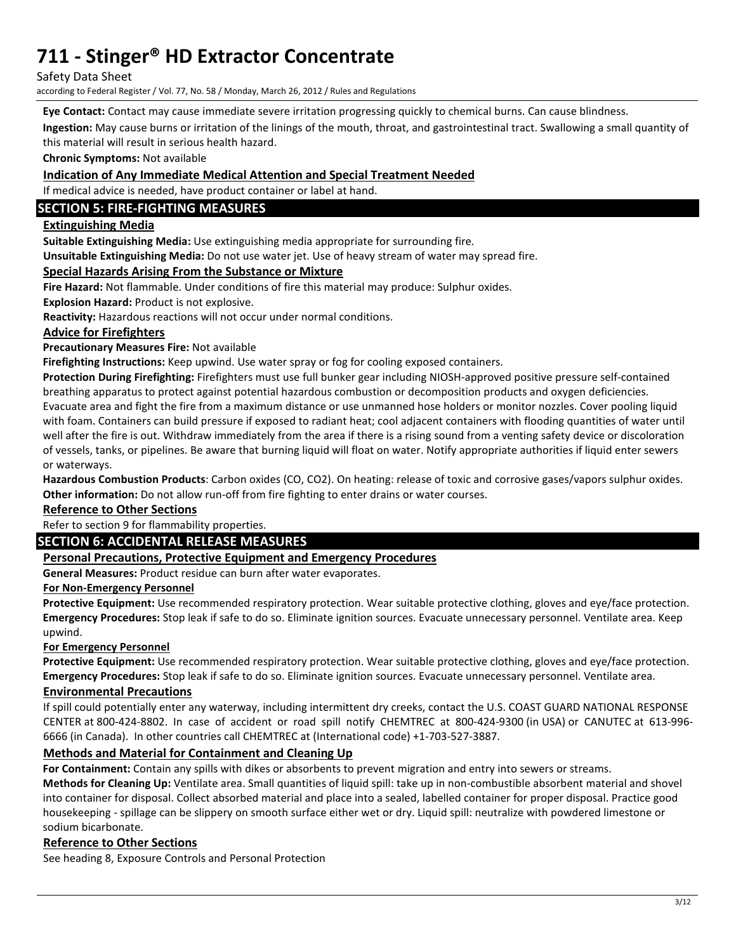Safety Data Sheet

according to Federal Register / Vol. 77, No. 58 / Monday, March 26, 2012 / Rules and Regulations

**Eye Contact:** Contact may cause immediate severe irritation progressing quickly to chemical burns. Can cause blindness.

**Ingestion:** May cause burns or irritation of the linings of the mouth, throat, and gastrointestinal tract. Swallowing a small quantity of this material will result in serious health hazard.

**Chronic Symptoms:** Not available

#### **Indication of Any Immediate Medical Attention and Special Treatment Needed**

If medical advice is needed, have product container or label at hand.

## **SECTION 5: FIRE-FIGHTING MEASURES**

### **Extinguishing Media**

**Suitable Extinguishing Media:** Use extinguishing media appropriate for surrounding fire.

**Unsuitable Extinguishing Media:** Do not use water jet. Use of heavy stream of water may spread fire.

#### **Special Hazards Arising From the Substance or Mixture**

**Fire Hazard:** Not flammable. Under conditions of fire this material may produce: Sulphur oxides.

**Explosion Hazard:** Product is not explosive.

**Reactivity:** Hazardous reactions will not occur under normal conditions.

### **Advice for Firefighters**

**Precautionary Measures Fire:** Not available

**Firefighting Instructions:** Keep upwind. Use water spray or fog for cooling exposed containers.

**Protection During Firefighting:** Firefighters must use full bunker gear including NIOSH-approved positive pressure self-contained breathing apparatus to protect against potential hazardous combustion or decomposition products and oxygen deficiencies. Evacuate area and fight the fire from a maximum distance or use unmanned hose holders or monitor nozzles. Cover pooling liquid with foam. Containers can build pressure if exposed to radiant heat; cool adjacent containers with flooding quantities of water until well after the fire is out. Withdraw immediately from the area if there is a rising sound from a venting safety device or discoloration of vessels, tanks, or pipelines. Be aware that burning liquid will float on water. Notify appropriate authorities if liquid enter sewers or waterways.

**Hazardous Combustion Products**: Carbon oxides (CO, CO2). On heating: release of toxic and corrosive gases/vapors sulphur oxides. **Other information:** Do not allow run-off from fire fighting to enter drains or water courses.

#### **Reference to Other Sections**

## Refer to section 9 for flammability properties.

## **SECTION 6: ACCIDENTAL RELEASE MEASURES**

### **Personal Precautions, Protective Equipment and Emergency Procedures**

**General Measures:** Product residue can burn after water evaporates.

#### **For Non-Emergency Personnel**

**Protective Equipment:** Use recommended respiratory protection. Wear suitable protective clothing, gloves and eye/face protection. **Emergency Procedures:** Stop leak if safe to do so. Eliminate ignition sources. Evacuate unnecessary personnel. Ventilate area. Keep upwind.

#### **For Emergency Personnel**

**Protective Equipment:** Use recommended respiratory protection. Wear suitable protective clothing, gloves and eye/face protection. **Emergency Procedures:** Stop leak if safe to do so. Eliminate ignition sources. Evacuate unnecessary personnel. Ventilate area.

### **Environmental Precautions**

If spill could potentially enter any waterway, including intermittent dry creeks, contact the U.S. COAST GUARD NATIONAL RESPONSE CENTER at 800-424-8802. In case of accident or road spill notify CHEMTREC at 800-424-9300 (in USA) or CANUTEC at 613-996- 6666 (in Canada). In other countries call CHEMTREC at (International code) +1-703-527-3887.

## **Methods and Material for Containment and Cleaning Up**

**For Containment:** Contain any spills with dikes or absorbents to prevent migration and entry into sewers or streams.

**Methods for Cleaning Up:** Ventilate area. Small quantities of liquid spill: take up in non-combustible absorbent material and shovel into container for disposal. Collect absorbed material and place into a sealed, labelled container for proper disposal. Practice good housekeeping - spillage can be slippery on smooth surface either wet or dry. Liquid spill: neutralize with powdered limestone or sodium bicarbonate.

#### **Reference to Other Sections**

See heading 8, Exposure Controls and Personal Protection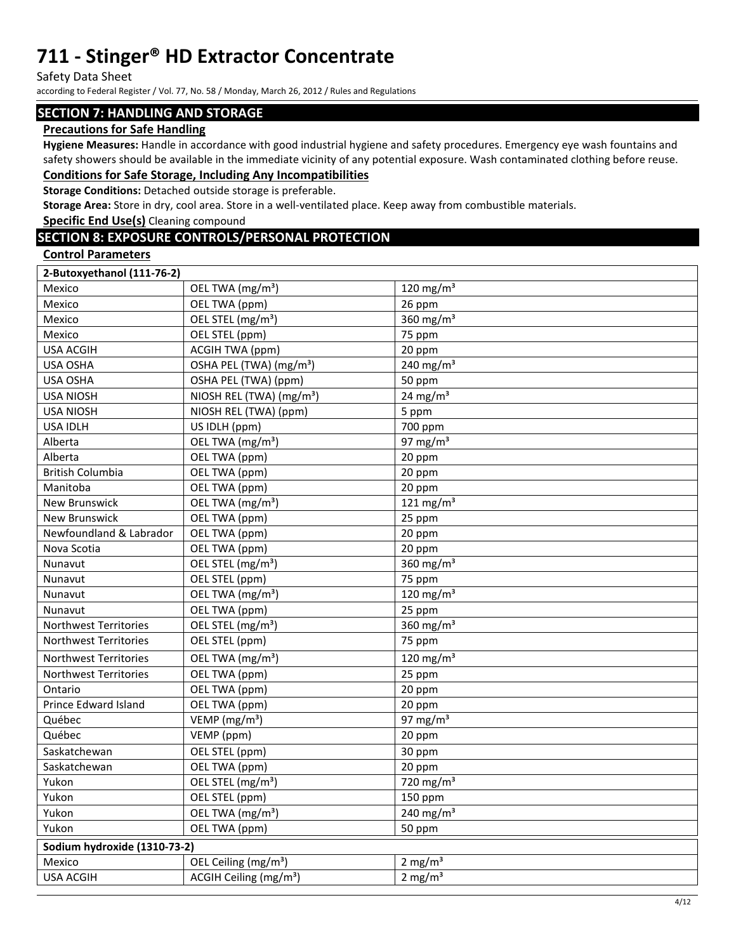Safety Data Sheet

according to Federal Register / Vol. 77, No. 58 / Monday, March 26, 2012 / Rules and Regulations

### **SECTION 7: HANDLING AND STORAGE**

### **Precautions for Safe Handling**

**Hygiene Measures:** Handle in accordance with good industrial hygiene and safety procedures. Emergency eye wash fountains and safety showers should be available in the immediate vicinity of any potential exposure. Wash contaminated clothing before reuse. **Conditions for Safe Storage, Including Any Incompatibilities** 

## **Storage Conditions:** Detached outside storage is preferable.

**Storage Area:** Store in dry, cool area. Store in a well-ventilated place. Keep away from combustible materials.

**Specific End Use(s)** Cleaning compound

## **SECTION 8: EXPOSURE CONTROLS/PERSONAL PROTECTION**

#### **Control Parameters**

| 2-Butoxyethanol (111-76-2)   |                                      |                     |  |  |
|------------------------------|--------------------------------------|---------------------|--|--|
| Mexico                       | OEL TWA (mg/m <sup>3</sup> )         | 120 mg/m $3$        |  |  |
| Mexico                       | OEL TWA (ppm)                        | 26 ppm              |  |  |
| Mexico                       | OEL STEL (mg/m <sup>3</sup> )        | 360 mg/m $3$        |  |  |
| Mexico                       | OEL STEL (ppm)                       | 75 ppm              |  |  |
| <b>USA ACGIH</b>             | <b>ACGIH TWA (ppm)</b>               | 20 ppm              |  |  |
| USA OSHA                     | OSHA PEL (TWA) (mg/m <sup>3</sup> )  | 240 mg/m $3$        |  |  |
| <b>USA OSHA</b>              | OSHA PEL (TWA) (ppm)                 | 50 ppm              |  |  |
| <b>USA NIOSH</b>             | NIOSH REL (TWA) (mg/m <sup>3</sup> ) | $24 \text{ mg/m}^3$ |  |  |
| <b>USA NIOSH</b>             | NIOSH REL (TWA) (ppm)                | 5 ppm               |  |  |
| <b>USA IDLH</b>              | US IDLH (ppm)                        | 700 ppm             |  |  |
| Alberta                      | OEL TWA (mg/m <sup>3</sup> )         | 97 mg/m $3$         |  |  |
| Alberta                      | OEL TWA (ppm)                        | 20 ppm              |  |  |
| <b>British Columbia</b>      | OEL TWA (ppm)                        | 20 ppm              |  |  |
| Manitoba                     | OEL TWA (ppm)                        | 20 ppm              |  |  |
| <b>New Brunswick</b>         | OEL TWA (mg/m <sup>3</sup> )         | 121 mg/m $3$        |  |  |
| <b>New Brunswick</b>         | OEL TWA (ppm)                        | 25 ppm              |  |  |
| Newfoundland & Labrador      | OEL TWA (ppm)                        | 20 ppm              |  |  |
| Nova Scotia                  | OEL TWA (ppm)                        | 20 ppm              |  |  |
| Nunavut                      | OEL STEL (mg/m <sup>3</sup> )        | 360 $mg/m3$         |  |  |
| Nunavut                      | OEL STEL (ppm)                       | 75 ppm              |  |  |
| Nunavut                      | OEL TWA (mg/m <sup>3</sup> )         | 120 mg/m $3$        |  |  |
| Nunavut                      | OEL TWA (ppm)                        | 25 ppm              |  |  |
| Northwest Territories        | OEL STEL (mg/m <sup>3</sup> )        | 360 $mg/m3$         |  |  |
| <b>Northwest Territories</b> | OEL STEL (ppm)                       | 75 ppm              |  |  |
| <b>Northwest Territories</b> | OEL TWA (mg/m <sup>3</sup> )         | 120 mg/m $3$        |  |  |
| <b>Northwest Territories</b> | OEL TWA (ppm)                        | 25 ppm              |  |  |
| Ontario                      | OEL TWA (ppm)                        | 20 ppm              |  |  |
| Prince Edward Island         | OEL TWA (ppm)                        | 20 ppm              |  |  |
| Québec                       | VEMP (mg/m <sup>3</sup> )            | 97 mg/m $3$         |  |  |
| Québec                       | VEMP (ppm)                           | 20 ppm              |  |  |
| Saskatchewan                 | OEL STEL (ppm)                       | 30 ppm              |  |  |
| Saskatchewan                 | OEL TWA (ppm)                        | 20 ppm              |  |  |
| Yukon                        | OEL STEL (mg/m <sup>3</sup> )        | 720 mg/m $3$        |  |  |
| Yukon                        | OEL STEL (ppm)                       | 150 ppm             |  |  |
| Yukon                        | OEL TWA (mg/m <sup>3</sup> )         | 240 mg/m $3$        |  |  |
| Yukon                        | OEL TWA (ppm)                        | 50 ppm              |  |  |
| Sodium hydroxide (1310-73-2) |                                      |                     |  |  |
| Mexico                       | OEL Ceiling (mg/m <sup>3</sup> )     | 2 mg/ $m3$          |  |  |
| <b>USA ACGIH</b>             | ACGIH Ceiling (mg/m <sup>3</sup> )   | $2 \text{ mg/m}^3$  |  |  |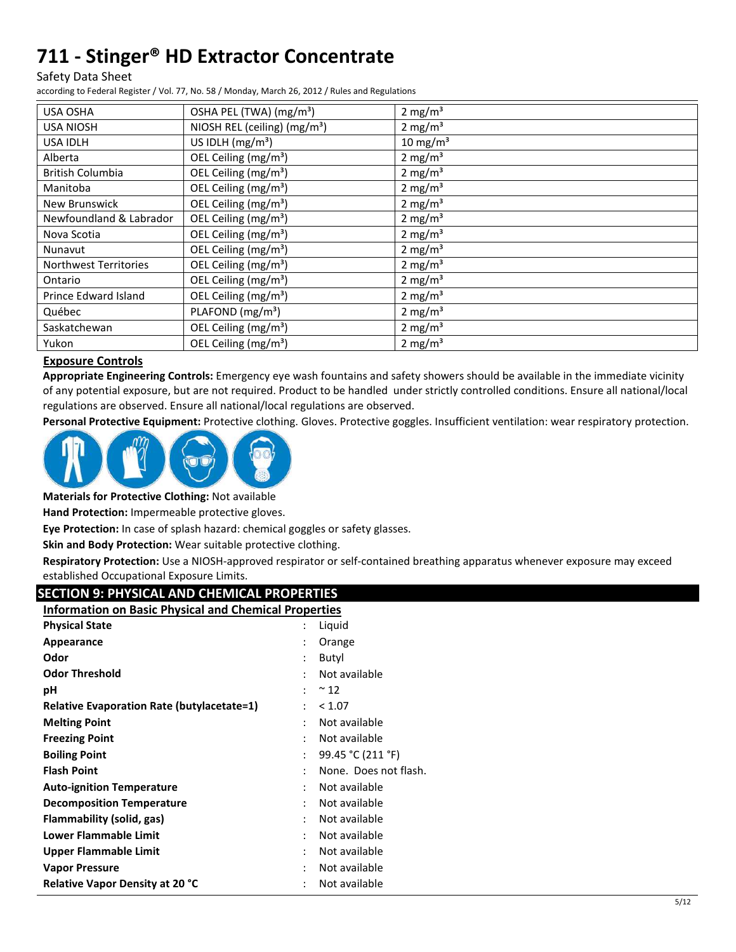Safety Data Sheet

according to Federal Register / Vol. 77, No. 58 / Monday, March 26, 2012 / Rules and Regulations

| USA OSHA                     | OSHA PEL (TWA) (mg/m <sup>3</sup> ) | 2 mg/m <sup>3</sup>  |
|------------------------------|-------------------------------------|----------------------|
| <b>USA NIOSH</b>             | NIOSH REL (ceiling) $(mg/m3)$       | 2 mg/m <sup>3</sup>  |
| USA IDLH                     | US IDLH $(mg/m3)$                   | 10 mg/m <sup>3</sup> |
| Alberta                      | OEL Ceiling (mg/m <sup>3</sup> )    | 2 mg/m <sup>3</sup>  |
| <b>British Columbia</b>      | OEL Ceiling (mg/m <sup>3</sup> )    | 2 mg/m <sup>3</sup>  |
| Manitoba                     | OEL Ceiling (mg/m <sup>3</sup> )    | 2 mg/ $m3$           |
| New Brunswick                | OEL Ceiling (mg/m <sup>3</sup> )    | 2 mg/m <sup>3</sup>  |
| Newfoundland & Labrador      | OEL Ceiling (mg/m <sup>3</sup> )    | 2 mg/ $m3$           |
| Nova Scotia                  | OEL Ceiling (mg/m <sup>3</sup> )    | 2 mg/ $m3$           |
| Nunavut                      | OEL Ceiling (mg/m <sup>3</sup> )    | 2 mg/ $m3$           |
| <b>Northwest Territories</b> | OEL Ceiling (mg/m <sup>3</sup> )    | 2 mg/m <sup>3</sup>  |
| Ontario                      | OEL Ceiling (mg/m <sup>3</sup> )    | 2 mg/ $m3$           |
| Prince Edward Island         | OEL Ceiling (mg/m <sup>3</sup> )    | 2 mg/m <sup>3</sup>  |
| Québec                       | PLAFOND (mg/m <sup>3</sup> )        | 2 mg/m <sup>3</sup>  |
| Saskatchewan                 | OEL Ceiling (mg/m <sup>3</sup> )    | 2 mg/ $m3$           |
| Yukon                        | OEL Ceiling (mg/m <sup>3</sup> )    | $2 \text{ mg/m}^3$   |

## **Exposure Controls**

**Appropriate Engineering Controls:** Emergency eye wash fountains and safety showers should be available in the immediate vicinity of any potential exposure, but are not required. Product to be handled under strictly controlled conditions. Ensure all national/local regulations are observed. Ensure all national/local regulations are observed.

**Personal Protective Equipment:** Protective clothing. Gloves. Protective goggles. Insufficient ventilation: wear respiratory protection.



**Materials for Protective Clothing:** Not available

**Hand Protection:** Impermeable protective gloves.

**Eye Protection:** In case of splash hazard: chemical goggles or safety glasses.

**Skin and Body Protection:** Wear suitable protective clothing.

**Respiratory Protection:** Use a NIOSH-approved respirator or self-contained breathing apparatus whenever exposure may exceed established Occupational Exposure Limits.

| <b>SECTION 9: PHYSICAL AND CHEMICAL PROPERTIES</b>           |                       |
|--------------------------------------------------------------|-----------------------|
| <b>Information on Basic Physical and Chemical Properties</b> |                       |
| <b>Physical State</b>                                        | Liquid                |
| Appearance                                                   | Orange                |
| Odor                                                         | Butyl                 |
| <b>Odor Threshold</b>                                        | Not available         |
| рH                                                           | $~^{\sim}$ 12         |
| <b>Relative Evaporation Rate (butylacetate=1)</b>            | < 1.07                |
| <b>Melting Point</b>                                         | Not available         |
| <b>Freezing Point</b>                                        | Not available         |
| <b>Boiling Point</b>                                         | 99.45 °C (211 °F)     |
| <b>Flash Point</b>                                           | None. Does not flash. |
| <b>Auto-ignition Temperature</b>                             | Not available         |
| <b>Decomposition Temperature</b>                             | Not available         |
| <b>Flammability (solid, gas)</b>                             | Not available         |
| <b>Lower Flammable Limit</b>                                 | Not available         |
| <b>Upper Flammable Limit</b>                                 | Not available         |
| <b>Vapor Pressure</b>                                        | Not available         |
| <b>Relative Vapor Density at 20 °C</b>                       | Not available         |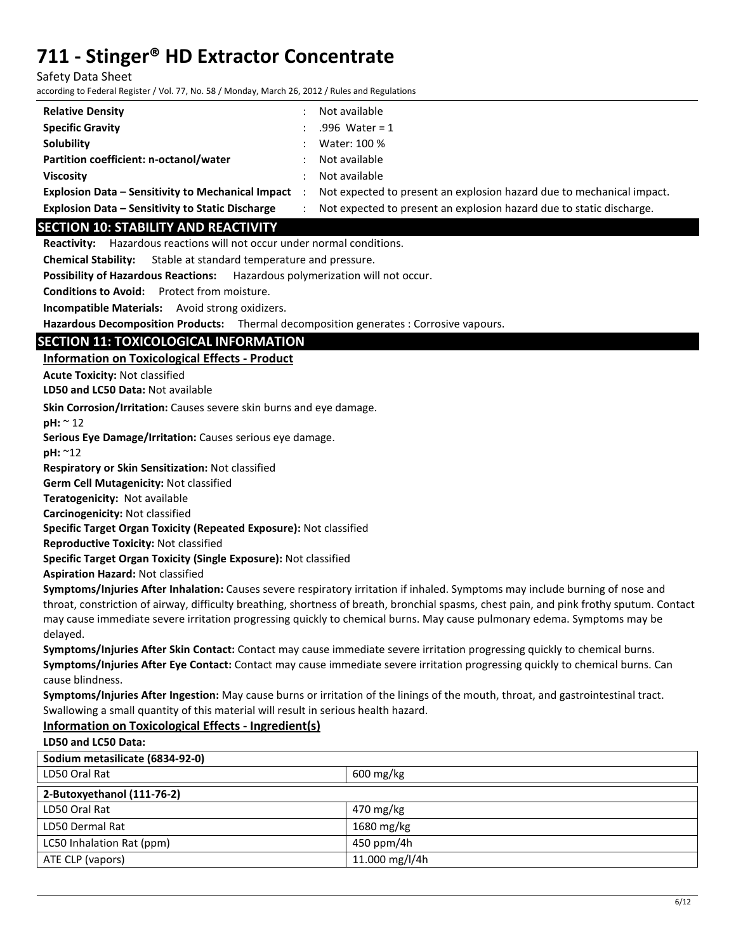Safety Data Sheet

according to Federal Register / Vol. 77, No. 58 / Monday, March 26, 2012 / Rules and Regulations

| <b>Relative Density</b>                                  | Not available                                                         |
|----------------------------------------------------------|-----------------------------------------------------------------------|
| <b>Specific Gravity</b>                                  | .996 Water = $1$                                                      |
| Solubility                                               | Water: 100 %                                                          |
| Partition coefficient: n-octanol/water                   | Not available                                                         |
| <b>Viscosity</b>                                         | Not available                                                         |
| <b>Explosion Data - Sensitivity to Mechanical Impact</b> | Not expected to present an explosion hazard due to mechanical impact. |
| <b>Explosion Data - Sensitivity to Static Discharge</b>  | Not expected to present an explosion hazard due to static discharge.  |

## **SECTION 10: STABILITY AND REACTIVITY**

**Reactivity:** Hazardous reactions will not occur under normal conditions.

**Chemical Stability:** Stable at standard temperature and pressure.

**Possibility of Hazardous Reactions:** Hazardous polymerization will not occur.

**Conditions to Avoid:** Protect from moisture.

**Incompatible Materials:** Avoid strong oxidizers.

**Hazardous Decomposition Products:** Thermal decomposition generates : Corrosive vapours.

## **SECTION 11: TOXICOLOGICAL INFORMATION**

**Information on Toxicological Effects - Product** 

**Acute Toxicity:** Not classified

**LD50 and LC50 Data:** Not available

**Skin Corrosion/Irritation:** Causes severe skin burns and eye damage.

**pH:** ~ 12

**Serious Eye Damage/Irritation:** Causes serious eye damage.

**pH:** ~12

**Respiratory or Skin Sensitization:** Not classified

**Germ Cell Mutagenicity:** Not classified

**Teratogenicity:** Not available

**Carcinogenicity:** Not classified

**Specific Target Organ Toxicity (Repeated Exposure):** Not classified

**Reproductive Toxicity:** Not classified

**Specific Target Organ Toxicity (Single Exposure):** Not classified

**Aspiration Hazard:** Not classified

**Symptoms/Injuries After Inhalation:** Causes severe respiratory irritation if inhaled. Symptoms may include burning of nose and throat, constriction of airway, difficulty breathing, shortness of breath, bronchial spasms, chest pain, and pink frothy sputum. Contact may cause immediate severe irritation progressing quickly to chemical burns. May cause pulmonary edema. Symptoms may be delayed.

**Symptoms/Injuries After Skin Contact:** Contact may cause immediate severe irritation progressing quickly to chemical burns. **Symptoms/Injuries After Eye Contact:** Contact may cause immediate severe irritation progressing quickly to chemical burns. Can cause blindness.

**Symptoms/Injuries After Ingestion:** May cause burns or irritation of the linings of the mouth, throat, and gastrointestinal tract. Swallowing a small quantity of this material will result in serious health hazard.

### **Information on Toxicological Effects - Ingredient(s)**

**LD50 and LC50 Data:**

| Sodium metasilicate (6834-92-0) |                        |  |
|---------------------------------|------------------------|--|
| LD50 Oral Rat                   | $600 \,\mathrm{mg/kg}$ |  |
| 2-Butoxyethanol (111-76-2)      |                        |  |
| LD50 Oral Rat                   | 470 mg/kg              |  |
| LD50 Dermal Rat                 | 1680 mg/kg             |  |
| LC50 Inhalation Rat (ppm)       | 450 ppm/4h             |  |
| ATE CLP (vapors)                | 11.000 mg/l/4h         |  |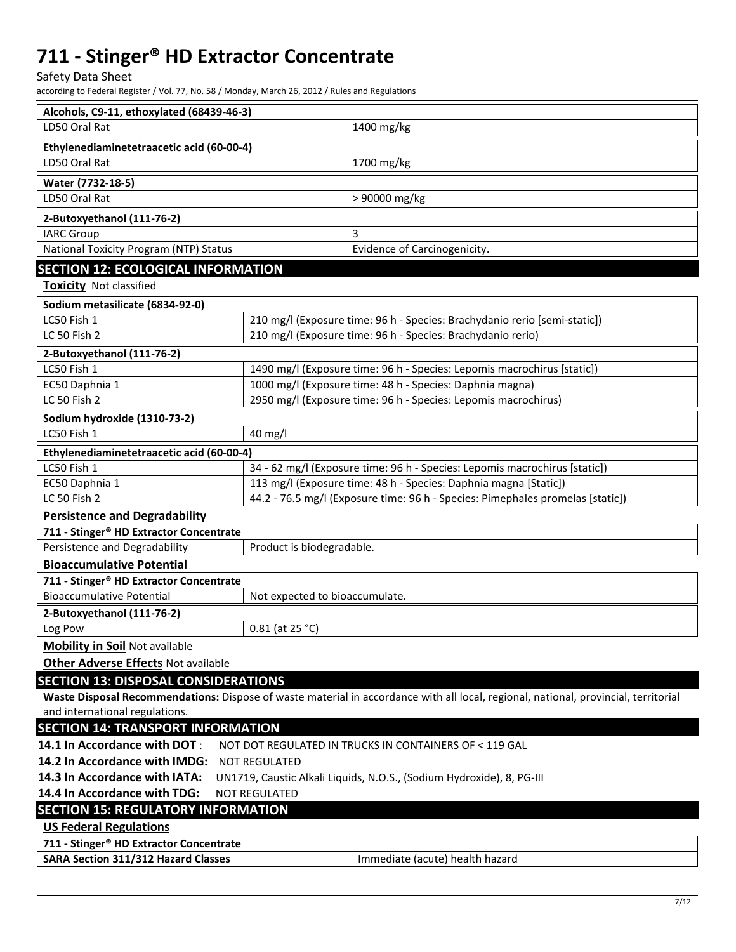Safety Data Sheet

according to Federal Register / Vol. 77, No. 58 / Monday, March 26, 2012 / Rules and Regulations

| Alcohols, C9-11, ethoxylated (68439-46-3)                                                              |                                                                            |                                                                                                                                     |  |
|--------------------------------------------------------------------------------------------------------|----------------------------------------------------------------------------|-------------------------------------------------------------------------------------------------------------------------------------|--|
| LD50 Oral Rat                                                                                          |                                                                            | 1400 mg/kg                                                                                                                          |  |
| Ethylenediaminetetraacetic acid (60-00-4)                                                              |                                                                            |                                                                                                                                     |  |
| LD50 Oral Rat                                                                                          |                                                                            | 1700 mg/kg                                                                                                                          |  |
| Water (7732-18-5)                                                                                      |                                                                            |                                                                                                                                     |  |
| LD50 Oral Rat                                                                                          |                                                                            | > 90000 mg/kg                                                                                                                       |  |
| 2-Butoxyethanol (111-76-2)                                                                             |                                                                            |                                                                                                                                     |  |
| <b>IARC Group</b>                                                                                      |                                                                            | 3                                                                                                                                   |  |
| National Toxicity Program (NTP) Status                                                                 |                                                                            | Evidence of Carcinogenicity.                                                                                                        |  |
| <b>SECTION 12: ECOLOGICAL INFORMATION</b>                                                              |                                                                            |                                                                                                                                     |  |
| <b>Toxicity</b> Not classified                                                                         |                                                                            |                                                                                                                                     |  |
| Sodium metasilicate (6834-92-0)                                                                        |                                                                            |                                                                                                                                     |  |
| LC50 Fish 1                                                                                            |                                                                            | 210 mg/l (Exposure time: 96 h - Species: Brachydanio rerio [semi-static])                                                           |  |
| LC 50 Fish 2                                                                                           |                                                                            | 210 mg/l (Exposure time: 96 h - Species: Brachydanio rerio)                                                                         |  |
| 2-Butoxyethanol (111-76-2)                                                                             |                                                                            |                                                                                                                                     |  |
| LC50 Fish 1                                                                                            |                                                                            | 1490 mg/l (Exposure time: 96 h - Species: Lepomis macrochirus [static])                                                             |  |
| EC50 Daphnia 1                                                                                         |                                                                            | 1000 mg/l (Exposure time: 48 h - Species: Daphnia magna)                                                                            |  |
| <b>LC 50 Fish 2</b>                                                                                    |                                                                            | 2950 mg/l (Exposure time: 96 h - Species: Lepomis macrochirus)                                                                      |  |
| Sodium hydroxide (1310-73-2)                                                                           |                                                                            |                                                                                                                                     |  |
| LC50 Fish 1                                                                                            | 40 mg/l                                                                    |                                                                                                                                     |  |
| Ethylenediaminetetraacetic acid (60-00-4)                                                              |                                                                            |                                                                                                                                     |  |
| LC50 Fish 1                                                                                            | 34 - 62 mg/l (Exposure time: 96 h - Species: Lepomis macrochirus [static]) |                                                                                                                                     |  |
| EC50 Daphnia 1                                                                                         | 113 mg/l (Exposure time: 48 h - Species: Daphnia magna [Static])           |                                                                                                                                     |  |
| 44.2 - 76.5 mg/l (Exposure time: 96 h - Species: Pimephales promelas [static])<br>LC 50 Fish 2         |                                                                            |                                                                                                                                     |  |
| <b>Persistence and Degradability</b>                                                                   |                                                                            |                                                                                                                                     |  |
| 711 - Stinger® HD Extractor Concentrate                                                                |                                                                            |                                                                                                                                     |  |
| Persistence and Degradability                                                                          | Product is biodegradable.                                                  |                                                                                                                                     |  |
| <b>Bioaccumulative Potential</b><br>711 - Stinger® HD Extractor Concentrate                            |                                                                            |                                                                                                                                     |  |
| <b>Bioaccumulative Potential</b>                                                                       | Not expected to bioaccumulate.                                             |                                                                                                                                     |  |
| 2-Butoxyethanol (111-76-2)                                                                             |                                                                            |                                                                                                                                     |  |
| Log Pow                                                                                                | 0.81 (at 25 °C)                                                            |                                                                                                                                     |  |
| <b>Mobility in Soil Not available</b>                                                                  |                                                                            |                                                                                                                                     |  |
| <b>Other Adverse Effects Not available</b>                                                             |                                                                            |                                                                                                                                     |  |
| <b>SECTION 13: DISPOSAL CONSIDERATIONS</b>                                                             |                                                                            |                                                                                                                                     |  |
|                                                                                                        |                                                                            | Waste Disposal Recommendations: Dispose of waste material in accordance with all local, regional, national, provincial, territorial |  |
| and international regulations.                                                                         |                                                                            |                                                                                                                                     |  |
| <b>SECTION 14: TRANSPORT INFORMATION</b>                                                               |                                                                            |                                                                                                                                     |  |
| 14.1 In Accordance with DOT:                                                                           |                                                                            | NOT DOT REGULATED IN TRUCKS IN CONTAINERS OF < 119 GAL                                                                              |  |
| 14.2 In Accordance with IMDG:<br><b>NOT REGULATED</b>                                                  |                                                                            |                                                                                                                                     |  |
| 14.3 In Accordance with IATA:<br>UN1719, Caustic Alkali Liquids, N.O.S., (Sodium Hydroxide), 8, PG-III |                                                                            |                                                                                                                                     |  |
| 14.4 In Accordance with TDG:<br><b>NOT REGULATED</b>                                                   |                                                                            |                                                                                                                                     |  |
| <b>SECTION 15: REGULATORY INFORMATION</b>                                                              |                                                                            |                                                                                                                                     |  |
| <b>US Federal Regulations</b>                                                                          |                                                                            |                                                                                                                                     |  |
| 711 - Stinger® HD Extractor Concentrate                                                                |                                                                            |                                                                                                                                     |  |
| <b>SARA Section 311/312 Hazard Classes</b>                                                             | Immediate (acute) health hazard                                            |                                                                                                                                     |  |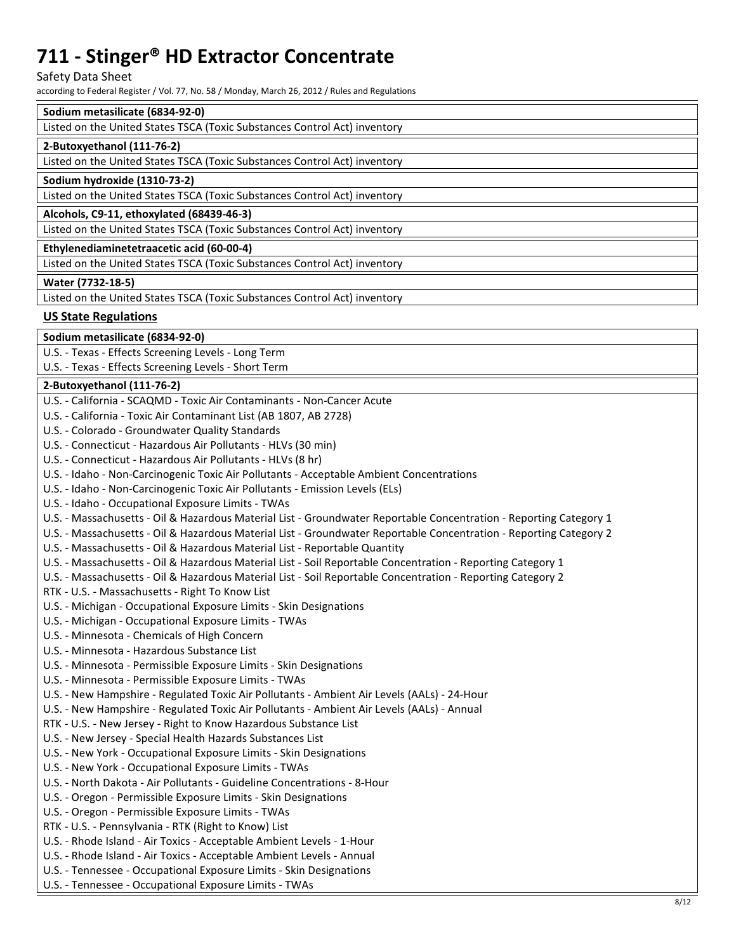Safety Data Sheet

according to Federal Register / Vol. 77, No. 58 / Monday, March 26, 2012 / Rules and Regulations

## **Sodium metasilicate (6834-92-0)**

| sourann mictasmeatc 1003+32 UI                                            |
|---------------------------------------------------------------------------|
| Listed on the United States TSCA (Toxic Substances Control Act) inventory |
| 2-Butoxyethanol (111-76-2)                                                |
| Listed on the United States TSCA (Toxic Substances Control Act) inventory |
| Sodium hydroxide (1310-73-2)                                              |
| Listed on the United States TSCA (Toxic Substances Control Act) inventory |
| Alcohols, C9-11, ethoxylated (68439-46-3)                                 |
| Listed on the United States TSCA (Toxic Substances Control Act) inventory |
| Ethylenediaminetetraacetic acid (60-00-4)                                 |
| Listed on the United States TSCA (Toxic Substances Control Act) inventory |
| Water (7732-18-5)                                                         |
| Listed on the United States TSCA (Toxic Substances Control Act) inventory |

### **US State Regulations**

**Sodium metasilicate (6834-92-0)** 

U.S. - Texas - Effects Screening Levels - Long Term

U.S. - Texas - Effects Screening Levels - Short Term

### **2-Butoxyethanol (111-76-2)**

| U.S. - California - SCAQMD - Toxic Air Contaminants - Non-Cancer Acute                                             |
|--------------------------------------------------------------------------------------------------------------------|
| U.S. - California - Toxic Air Contaminant List (AB 1807, AB 2728)                                                  |
| U.S. - Colorado - Groundwater Quality Standards                                                                    |
| U.S. - Connecticut - Hazardous Air Pollutants - HLVs (30 min)                                                      |
| U.S. - Connecticut - Hazardous Air Pollutants - HLVs (8 hr)                                                        |
| U.S. - Idaho - Non-Carcinogenic Toxic Air Pollutants - Acceptable Ambient Concentrations                           |
| U.S. - Idaho - Non-Carcinogenic Toxic Air Pollutants - Emission Levels (ELs)                                       |
| U.S. - Idaho - Occupational Exposure Limits - TWAs                                                                 |
| U.S. - Massachusetts - Oil & Hazardous Material List - Groundwater Reportable Concentration - Reporting Category 1 |
| U.S. - Massachusetts - Oil & Hazardous Material List - Groundwater Reportable Concentration - Reporting Category 2 |
| U.S. - Massachusetts - Oil & Hazardous Material List - Reportable Quantity                                         |
| U.S. - Massachusetts - Oil & Hazardous Material List - Soil Reportable Concentration - Reporting Category 1        |
| U.S. - Massachusetts - Oil & Hazardous Material List - Soil Reportable Concentration - Reporting Category 2        |
| RTK - U.S. - Massachusetts - Right To Know List                                                                    |
| U.S. - Michigan - Occupational Exposure Limits - Skin Designations                                                 |
| U.S. - Michigan - Occupational Exposure Limits - TWAs                                                              |
| U.S. - Minnesota - Chemicals of High Concern                                                                       |
| U.S. - Minnesota - Hazardous Substance List                                                                        |
| U.S. - Minnesota - Permissible Exposure Limits - Skin Designations                                                 |
| U.S. - Minnesota - Permissible Exposure Limits - TWAs                                                              |
| U.S. - New Hampshire - Regulated Toxic Air Pollutants - Ambient Air Levels (AALs) - 24-Hour                        |
| U.S. - New Hampshire - Regulated Toxic Air Pollutants - Ambient Air Levels (AALs) - Annual                         |
| RTK - U.S. - New Jersey - Right to Know Hazardous Substance List                                                   |
| U.S. - New Jersey - Special Health Hazards Substances List                                                         |
| U.S. - New York - Occupational Exposure Limits - Skin Designations                                                 |
| U.S. - New York - Occupational Exposure Limits - TWAs                                                              |
| U.S. - North Dakota - Air Pollutants - Guideline Concentrations - 8-Hour                                           |
| U.S. - Oregon - Permissible Exposure Limits - Skin Designations                                                    |
| U.S. - Oregon - Permissible Exposure Limits - TWAs                                                                 |
| RTK - U.S. - Pennsylvania - RTK (Right to Know) List                                                               |
| U.S. - Rhode Island - Air Toxics - Acceptable Ambient Levels - 1-Hour                                              |
| U.S. - Rhode Island - Air Toxics - Acceptable Ambient Levels - Annual                                              |
| U.S. - Tennessee - Occupational Exposure Limits - Skin Designations                                                |
| U.S. - Tennessee - Occupational Exposure Limits - TWAs                                                             |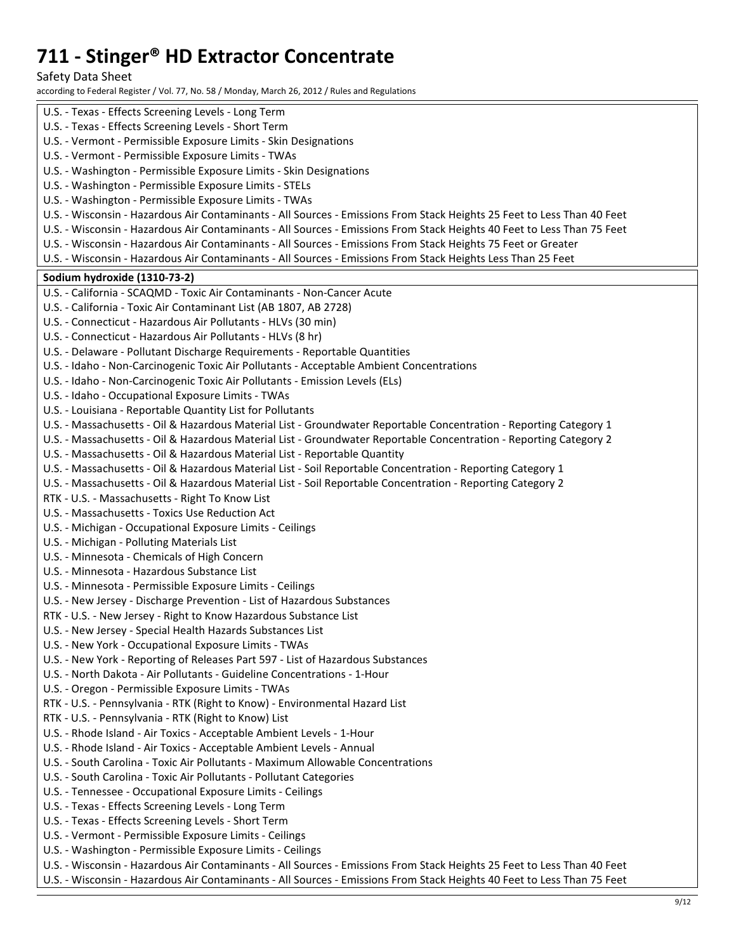Safety Data Sheet

according to Federal Register / Vol. 77, No. 58 / Monday, March 26, 2012 / Rules and Regulations

| U.S. - Texas - Effects Screening Levels - Long Term                                                                     |
|-------------------------------------------------------------------------------------------------------------------------|
| U.S. - Texas - Effects Screening Levels - Short Term                                                                    |
| U.S. - Vermont - Permissible Exposure Limits - Skin Designations                                                        |
| U.S. - Vermont - Permissible Exposure Limits - TWAs                                                                     |
| U.S. - Washington - Permissible Exposure Limits - Skin Designations                                                     |
| U.S. - Washington - Permissible Exposure Limits - STELs                                                                 |
| U.S. - Washington - Permissible Exposure Limits - TWAs                                                                  |
| U.S. - Wisconsin - Hazardous Air Contaminants - All Sources - Emissions From Stack Heights 25 Feet to Less Than 40 Feet |
| U.S. - Wisconsin - Hazardous Air Contaminants - All Sources - Emissions From Stack Heights 40 Feet to Less Than 75 Feet |
| U.S. - Wisconsin - Hazardous Air Contaminants - All Sources - Emissions From Stack Heights 75 Feet or Greater           |
| U.S. - Wisconsin - Hazardous Air Contaminants - All Sources - Emissions From Stack Heights Less Than 25 Feet            |
|                                                                                                                         |
| Sodium hydroxide (1310-73-2)                                                                                            |
| U.S. - California - SCAQMD - Toxic Air Contaminants - Non-Cancer Acute                                                  |
| U.S. - California - Toxic Air Contaminant List (AB 1807, AB 2728)                                                       |
| U.S. - Connecticut - Hazardous Air Pollutants - HLVs (30 min)                                                           |
| U.S. - Connecticut - Hazardous Air Pollutants - HLVs (8 hr)                                                             |
| U.S. - Delaware - Pollutant Discharge Requirements - Reportable Quantities                                              |
| U.S. - Idaho - Non-Carcinogenic Toxic Air Pollutants - Acceptable Ambient Concentrations                                |
| U.S. - Idaho - Non-Carcinogenic Toxic Air Pollutants - Emission Levels (ELs)                                            |
| U.S. - Idaho - Occupational Exposure Limits - TWAs                                                                      |
| U.S. - Louisiana - Reportable Quantity List for Pollutants                                                              |
| U.S. - Massachusetts - Oil & Hazardous Material List - Groundwater Reportable Concentration - Reporting Category 1      |
| U.S. - Massachusetts - Oil & Hazardous Material List - Groundwater Reportable Concentration - Reporting Category 2      |
| U.S. - Massachusetts - Oil & Hazardous Material List - Reportable Quantity                                              |
| U.S. - Massachusetts - Oil & Hazardous Material List - Soil Reportable Concentration - Reporting Category 1             |
| U.S. - Massachusetts - Oil & Hazardous Material List - Soil Reportable Concentration - Reporting Category 2             |
| RTK - U.S. - Massachusetts - Right To Know List                                                                         |
| U.S. - Massachusetts - Toxics Use Reduction Act                                                                         |
| U.S. - Michigan - Occupational Exposure Limits - Ceilings                                                               |
| U.S. - Michigan - Polluting Materials List                                                                              |
| U.S. - Minnesota - Chemicals of High Concern                                                                            |
| U.S. - Minnesota - Hazardous Substance List                                                                             |
| U.S. - Minnesota - Permissible Exposure Limits - Ceilings                                                               |
| U.S. - New Jersey - Discharge Prevention - List of Hazardous Substances                                                 |
| RTK - U.S. - New Jersey - Right to Know Hazardous Substance List                                                        |
| U.S. - New Jersey - Special Health Hazards Substances List                                                              |
| U.S. - New York - Occupational Exposure Limits - TWAs                                                                   |
| U.S. - New York - Reporting of Releases Part 597 - List of Hazardous Substances                                         |
| U.S. - North Dakota - Air Pollutants - Guideline Concentrations - 1-Hour                                                |
| U.S. - Oregon - Permissible Exposure Limits - TWAs                                                                      |
|                                                                                                                         |
| RTK - U.S. - Pennsylvania - RTK (Right to Know) - Environmental Hazard List                                             |
| RTK - U.S. - Pennsylvania - RTK (Right to Know) List                                                                    |
| U.S. - Rhode Island - Air Toxics - Acceptable Ambient Levels - 1-Hour                                                   |
| U.S. - Rhode Island - Air Toxics - Acceptable Ambient Levels - Annual                                                   |
| U.S. - South Carolina - Toxic Air Pollutants - Maximum Allowable Concentrations                                         |
| U.S. - South Carolina - Toxic Air Pollutants - Pollutant Categories                                                     |
| U.S. - Tennessee - Occupational Exposure Limits - Ceilings                                                              |
| U.S. - Texas - Effects Screening Levels - Long Term                                                                     |
| U.S. - Texas - Effects Screening Levels - Short Term                                                                    |
| U.S. - Vermont - Permissible Exposure Limits - Ceilings                                                                 |
| U.S. - Washington - Permissible Exposure Limits - Ceilings                                                              |
| U.S. - Wisconsin - Hazardous Air Contaminants - All Sources - Emissions From Stack Heights 25 Feet to Less Than 40 Feet |
| U.S. - Wisconsin - Hazardous Air Contaminants - All Sources - Emissions From Stack Heights 40 Feet to Less Than 75 Feet |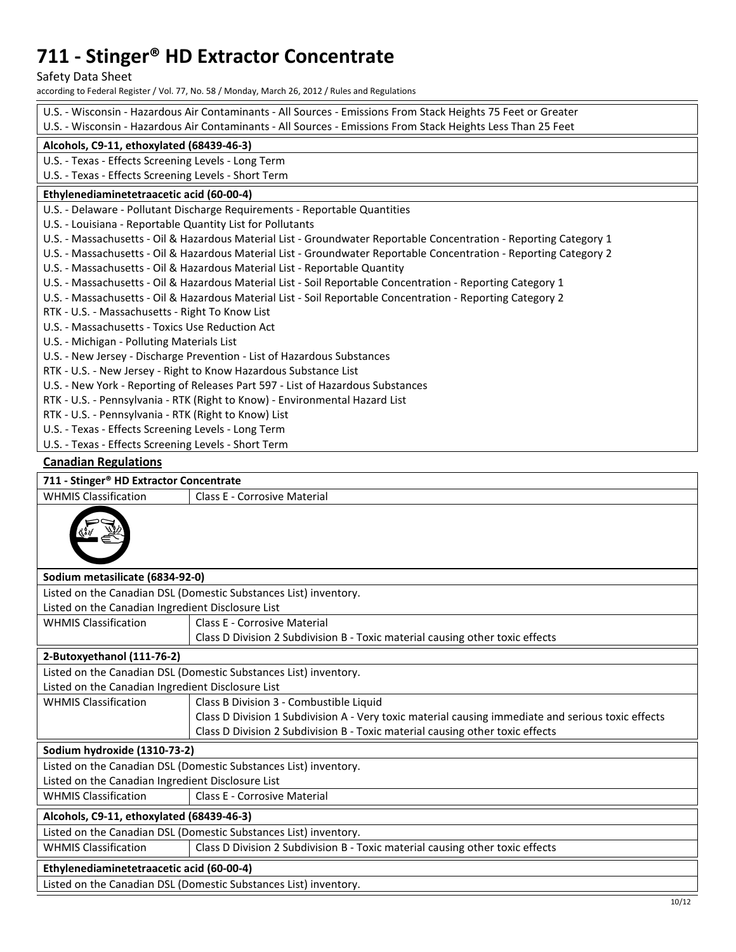Safety Data Sheet

according to Federal Register / Vol. 77, No. 58 / Monday, March 26, 2012 / Rules and Regulations

| U.S. - Wisconsin - Hazardous Air Contaminants - All Sources - Emissions From Stack Heights 75 Feet or Greater |                                                                                                                                                                                           |  |  |
|---------------------------------------------------------------------------------------------------------------|-------------------------------------------------------------------------------------------------------------------------------------------------------------------------------------------|--|--|
| U.S. - Wisconsin - Hazardous Air Contaminants - All Sources - Emissions From Stack Heights Less Than 25 Feet  |                                                                                                                                                                                           |  |  |
|                                                                                                               | Alcohols, C9-11, ethoxylated (68439-46-3)                                                                                                                                                 |  |  |
| U.S. - Texas - Effects Screening Levels - Long Term                                                           |                                                                                                                                                                                           |  |  |
| U.S. - Texas - Effects Screening Levels - Short Term                                                          |                                                                                                                                                                                           |  |  |
| Ethylenediaminetetraacetic acid (60-00-4)                                                                     |                                                                                                                                                                                           |  |  |
|                                                                                                               | U.S. - Delaware - Pollutant Discharge Requirements - Reportable Quantities                                                                                                                |  |  |
| U.S. - Louisiana - Reportable Quantity List for Pollutants                                                    |                                                                                                                                                                                           |  |  |
|                                                                                                               | U.S. - Massachusetts - Oil & Hazardous Material List - Groundwater Reportable Concentration - Reporting Category 1                                                                        |  |  |
|                                                                                                               | U.S. - Massachusetts - Oil & Hazardous Material List - Groundwater Reportable Concentration - Reporting Category 2                                                                        |  |  |
|                                                                                                               | U.S. - Massachusetts - Oil & Hazardous Material List - Reportable Quantity<br>U.S. - Massachusetts - Oil & Hazardous Material List - Soil Reportable Concentration - Reporting Category 1 |  |  |
|                                                                                                               | U.S. - Massachusetts - Oil & Hazardous Material List - Soil Reportable Concentration - Reporting Category 2                                                                               |  |  |
| RTK - U.S. - Massachusetts - Right To Know List                                                               |                                                                                                                                                                                           |  |  |
| U.S. - Massachusetts - Toxics Use Reduction Act                                                               |                                                                                                                                                                                           |  |  |
| U.S. - Michigan - Polluting Materials List                                                                    |                                                                                                                                                                                           |  |  |
|                                                                                                               | U.S. - New Jersey - Discharge Prevention - List of Hazardous Substances                                                                                                                   |  |  |
|                                                                                                               | RTK - U.S. - New Jersey - Right to Know Hazardous Substance List                                                                                                                          |  |  |
|                                                                                                               | U.S. - New York - Reporting of Releases Part 597 - List of Hazardous Substances                                                                                                           |  |  |
|                                                                                                               | RTK - U.S. - Pennsylvania - RTK (Right to Know) - Environmental Hazard List                                                                                                               |  |  |
| RTK - U.S. - Pennsylvania - RTK (Right to Know) List                                                          |                                                                                                                                                                                           |  |  |
| U.S. - Texas - Effects Screening Levels - Long Term                                                           |                                                                                                                                                                                           |  |  |
| U.S. - Texas - Effects Screening Levels - Short Term                                                          |                                                                                                                                                                                           |  |  |
| <b>Canadian Regulations</b>                                                                                   |                                                                                                                                                                                           |  |  |
| 711 - Stinger® HD Extractor Concentrate                                                                       |                                                                                                                                                                                           |  |  |
| <b>WHMIS Classification</b>                                                                                   | Class E - Corrosive Material                                                                                                                                                              |  |  |
|                                                                                                               |                                                                                                                                                                                           |  |  |
| Sodium metasilicate (6834-92-0)                                                                               |                                                                                                                                                                                           |  |  |
|                                                                                                               | Listed on the Canadian DSL (Domestic Substances List) inventory.                                                                                                                          |  |  |
| Listed on the Canadian Ingredient Disclosure List                                                             |                                                                                                                                                                                           |  |  |
| <b>WHMIS Classification</b>                                                                                   | <b>Class E - Corrosive Material</b>                                                                                                                                                       |  |  |
|                                                                                                               | Class D Division 2 Subdivision B - Toxic material causing other toxic effects                                                                                                             |  |  |
| 2-Butoxyethanol (111-76-2)                                                                                    |                                                                                                                                                                                           |  |  |
|                                                                                                               | Listed on the Canadian DSL (Domestic Substances List) inventory.                                                                                                                          |  |  |
| Listed on the Canadian Ingredient Disclosure List                                                             |                                                                                                                                                                                           |  |  |
| <b>WHMIS Classification</b>                                                                                   | Class B Division 3 - Combustible Liquid                                                                                                                                                   |  |  |
|                                                                                                               | Class D Division 1 Subdivision A - Very toxic material causing immediate and serious toxic effects                                                                                        |  |  |
|                                                                                                               | Class D Division 2 Subdivision B - Toxic material causing other toxic effects                                                                                                             |  |  |
| Sodium hydroxide (1310-73-2)                                                                                  |                                                                                                                                                                                           |  |  |
| Listed on the Canadian DSL (Domestic Substances List) inventory.                                              |                                                                                                                                                                                           |  |  |
| Listed on the Canadian Ingredient Disclosure List                                                             |                                                                                                                                                                                           |  |  |
| <b>WHMIS Classification</b>                                                                                   | Class E - Corrosive Material                                                                                                                                                              |  |  |
| Alcohols, C9-11, ethoxylated (68439-46-3)                                                                     |                                                                                                                                                                                           |  |  |
| Listed on the Canadian DSL (Domestic Substances List) inventory.                                              |                                                                                                                                                                                           |  |  |
| <b>WHMIS Classification</b><br>Class D Division 2 Subdivision B - Toxic material causing other toxic effects  |                                                                                                                                                                                           |  |  |
| Ethylenediaminetetraacetic acid (60-00-4)                                                                     |                                                                                                                                                                                           |  |  |
|                                                                                                               | Listed on the Canadian DSL (Domestic Substances List) inventory.                                                                                                                          |  |  |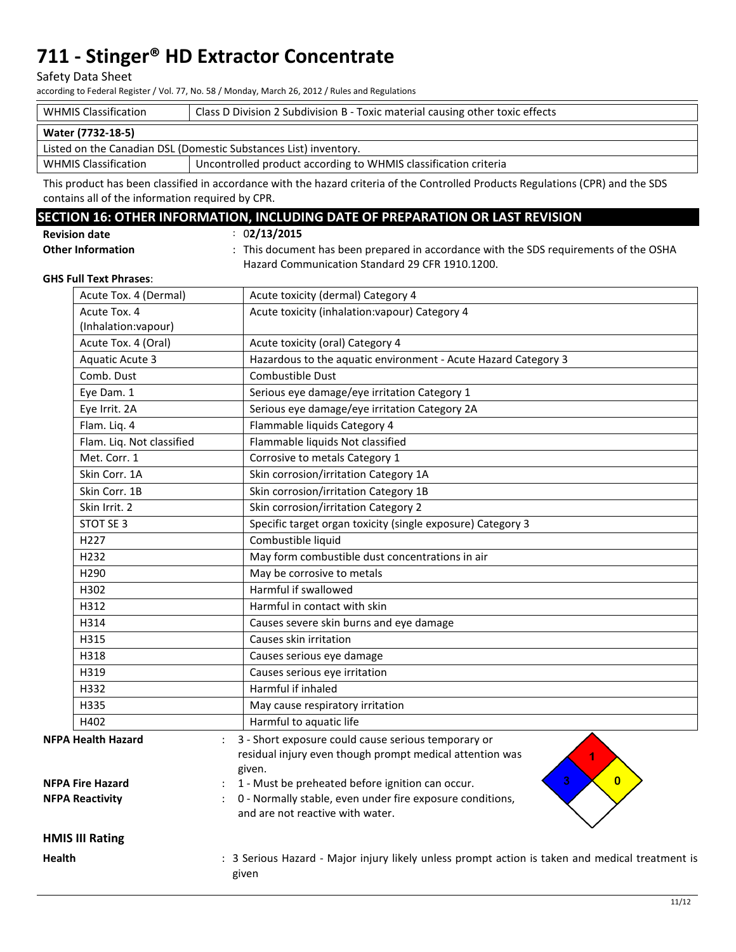#### Safety Data Sheet

according to Federal Register / Vol. 77, No. 58 / Monday, March 26, 2012 / Rules and Regulations

| <b>WHMIS Classification</b>                                      | Class D Division 2 Subdivision B - Toxic material causing other toxic effects |  |  |
|------------------------------------------------------------------|-------------------------------------------------------------------------------|--|--|
| Water (7732-18-5)                                                |                                                                               |  |  |
| Listed on the Canadian DSL (Domestic Substances List) inventory. |                                                                               |  |  |
| <b>WHMIS Classification</b>                                      | Uncontrolled product according to WHMIS classification criteria               |  |  |

This product has been classified in accordance with the hazard criteria of the Controlled Products Regulations (CPR) and the SDS contains all of the information required by CPR.

### **SECTION 16: OTHER INFORMATION, INCLUDING DATE OF PREPARATION OR LAST REVISION**

: 0**2/13/2015**

: This document has been prepared in accordance with the SDS requirements of the OSHA Hazard Communication Standard 29 CFR 1910.1200.

#### **GHS Full Text Phrases**:

**Other Information** 

|                                                      | Acute Tox. 4 (Dermal)                            | Acute toxicity (dermal) Category 4                                                                                                                                                                 |
|------------------------------------------------------|--------------------------------------------------|----------------------------------------------------------------------------------------------------------------------------------------------------------------------------------------------------|
|                                                      | Acute Tox. 4                                     | Acute toxicity (inhalation: vapour) Category 4                                                                                                                                                     |
|                                                      | (Inhalation: vapour)                             |                                                                                                                                                                                                    |
|                                                      | Acute Tox. 4 (Oral)                              | Acute toxicity (oral) Category 4                                                                                                                                                                   |
|                                                      | <b>Aquatic Acute 3</b>                           | Hazardous to the aquatic environment - Acute Hazard Category 3                                                                                                                                     |
|                                                      | Comb. Dust                                       | Combustible Dust                                                                                                                                                                                   |
|                                                      | Eye Dam. 1                                       | Serious eye damage/eye irritation Category 1                                                                                                                                                       |
|                                                      | Eye Irrit. 2A                                    | Serious eye damage/eye irritation Category 2A                                                                                                                                                      |
|                                                      | Flam. Lig. 4                                     | Flammable liquids Category 4                                                                                                                                                                       |
|                                                      | Flam. Liq. Not classified                        | Flammable liquids Not classified                                                                                                                                                                   |
|                                                      | Met. Corr. 1                                     | Corrosive to metals Category 1                                                                                                                                                                     |
|                                                      | Skin Corr. 1A                                    | Skin corrosion/irritation Category 1A                                                                                                                                                              |
|                                                      | Skin Corr. 1B                                    | Skin corrosion/irritation Category 1B                                                                                                                                                              |
|                                                      | Skin Irrit. 2                                    | Skin corrosion/irritation Category 2                                                                                                                                                               |
|                                                      | STOT SE 3                                        | Specific target organ toxicity (single exposure) Category 3                                                                                                                                        |
|                                                      | H <sub>227</sub>                                 | Combustible liquid                                                                                                                                                                                 |
|                                                      | H <sub>232</sub>                                 | May form combustible dust concentrations in air                                                                                                                                                    |
|                                                      | H290                                             | May be corrosive to metals                                                                                                                                                                         |
|                                                      | H302                                             | Harmful if swallowed                                                                                                                                                                               |
|                                                      | H312                                             | Harmful in contact with skin                                                                                                                                                                       |
|                                                      | H314                                             | Causes severe skin burns and eye damage                                                                                                                                                            |
|                                                      | H315                                             | Causes skin irritation                                                                                                                                                                             |
|                                                      | H318                                             | Causes serious eye damage                                                                                                                                                                          |
|                                                      | H319                                             | Causes serious eye irritation                                                                                                                                                                      |
|                                                      | H332                                             | Harmful if inhaled                                                                                                                                                                                 |
|                                                      | H335                                             | May cause respiratory irritation                                                                                                                                                                   |
|                                                      | H402                                             | Harmful to aquatic life                                                                                                                                                                            |
| <b>NFPA Health Hazard</b><br><b>NFPA Fire Hazard</b> |                                                  | 3 - Short exposure could cause serious temporary or<br>residual injury even though prompt medical attention was<br>given.<br>3<br>$\mathbf{0}$<br>1 - Must be preheated before ignition can occur. |
|                                                      | <b>NFPA Reactivity</b><br><b>HMIS III Rating</b> | 0 - Normally stable, even under fire exposure conditions,<br>and are not reactive with water.                                                                                                      |
|                                                      |                                                  |                                                                                                                                                                                                    |
| <b>Health</b>                                        |                                                  | : 3 Serious Hazard - Major injury likely unless prompt action is taken and medical treatment is<br>given                                                                                           |